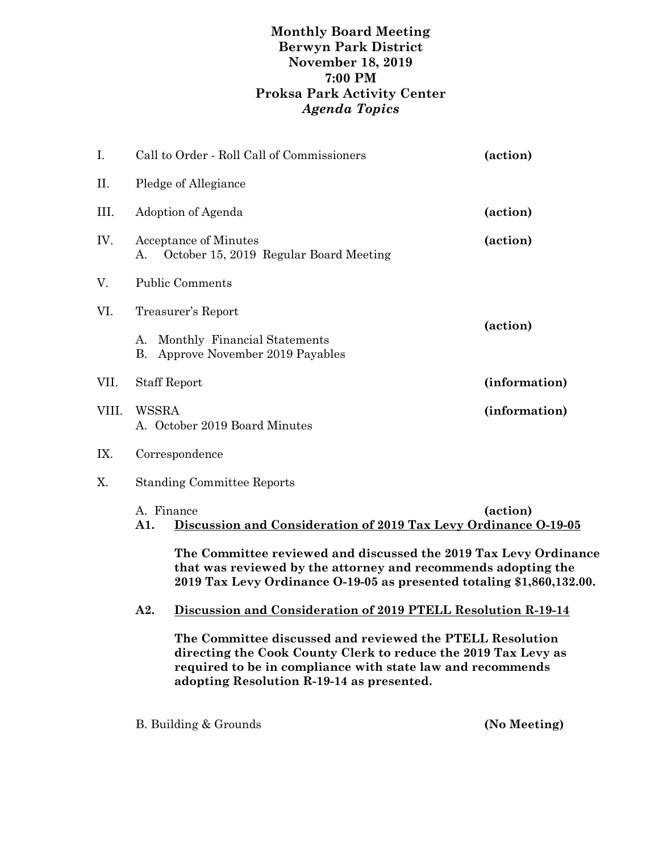## **Monthly Board Meeting Berwyn Park District November 18, 2019 7:00 PM Proksa Park Activity Center** *Agenda Topics*

| I.    |                                                                                                                                                                                                                                        | Call to Order - Roll Call of Commissioners                                           | (action)      |  |
|-------|----------------------------------------------------------------------------------------------------------------------------------------------------------------------------------------------------------------------------------------|--------------------------------------------------------------------------------------|---------------|--|
| Π.    |                                                                                                                                                                                                                                        | Pledge of Allegiance                                                                 |               |  |
| III.  |                                                                                                                                                                                                                                        | Adoption of Agenda                                                                   | (action)      |  |
| IV.   | А.                                                                                                                                                                                                                                     | <b>Acceptance of Minutes</b><br>October 15, 2019 Regular Board Meeting               | (action)      |  |
| V.    |                                                                                                                                                                                                                                        | <b>Public Comments</b>                                                               |               |  |
| VI.   | А.<br>В.                                                                                                                                                                                                                               | Treasurer's Report<br>Monthly Financial Statements<br>Approve November 2019 Payables | (action)      |  |
| VII.  | <b>Staff Report</b>                                                                                                                                                                                                                    |                                                                                      | (information) |  |
| VIII. | (information)<br>WSSRA<br>A. October 2019 Board Minutes                                                                                                                                                                                |                                                                                      |               |  |
| IX.   | Correspondence                                                                                                                                                                                                                         |                                                                                      |               |  |
| Χ.    | <b>Standing Committee Reports</b>                                                                                                                                                                                                      |                                                                                      |               |  |
|       | A. Finance<br>(action)<br>Discussion and Consideration of 2019 Tax Levy Ordinance 0-19-05<br>A1.                                                                                                                                       |                                                                                      |               |  |
|       | The Committee reviewed and discussed the 2019 Tax Levy Ordinance<br>that was reviewed by the attorney and recommends adopting the<br>2019 Tax Levy Ordinance O-19-05 as presented totaling \$1,860,132.00.                             |                                                                                      |               |  |
|       | A <sub>2</sub> .                                                                                                                                                                                                                       | Discussion and Consideration of 2019 PTELL Resolution R-19-14                        |               |  |
|       | The Committee discussed and reviewed the PTELL Resolution<br>directing the Cook County Clerk to reduce the 2019 Tax Levy as<br>required to be in compliance with state law and recommends<br>adopting Resolution R-19-14 as presented. |                                                                                      |               |  |

B. Building & Grounds **(No Meeting)**